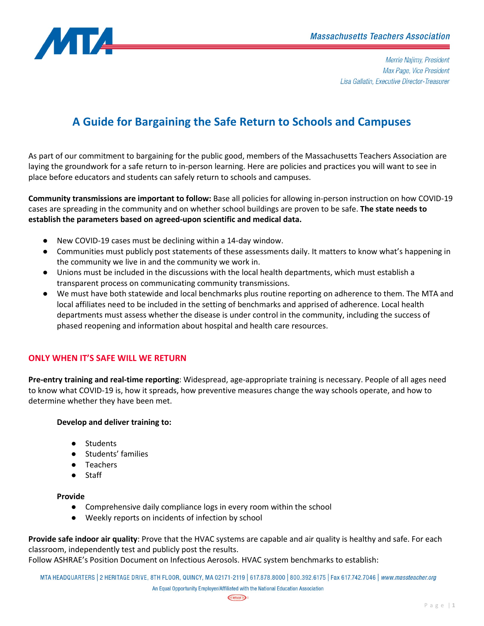

Merrie Najimy, President Max Page, Vice President Lisa Gallatin, Executive Director-Treasurer

# **A Guide for Bargaining the Safe Return to Schools and Campuses**

As part of our commitment to bargaining for the public good, members of the Massachusetts Teachers Association are laying the groundwork for a safe return to in-person learning. Here are policies and practices you will want to see in place before educators and students can safely return to schools and campuses.

**Community transmissions are important to follow:** Base all policies for allowing in-person instruction on how COVID-19 cases are spreading in the community and on whether school buildings are proven to be safe. **The state needs to establish the parameters based on agreed-upon scientific and medical data.**

- New COVID-19 cases must be declining within a 14-day window.
- Communities must publicly post statements of these assessments daily. It matters to know what's happening in the community we live in and the community we work in.
- Unions must be included in the discussions with the local health departments, which must establish a transparent process on communicating community transmissions.
- We must have both statewide and local benchmarks plus routine reporting on adherence to them. The MTA and local affiliates need to be included in the setting of benchmarks and apprised of adherence. Local health departments must assess whether the disease is under control in the community, including the success of phased reopening and information about hospital and health care resources.

## **ONLY WHEN IT'S SAFE WILL WE RETURN**

**Pre-entry training and real-time reporting**: Widespread, age-appropriate training is necessary. People of all ages need to know what COVID-19 is, how it spreads, how preventive measures change the way schools operate, and how to determine whether they have been met.

### **Develop and deliver training to:**

- Students
- Students' families
- Teachers
- Staff

#### **Provide**

- Comprehensive daily compliance logs in every room within the school
- Weekly reports on incidents of infection by school

**Provide safe indoor air quality**: Prove that the HVAC systems are capable and air quality is healthy and safe. For each classroom, independently test and publicly post the results.

Follow ASHRAE's Position Document on Infectious Aerosols. HVAC system benchmarks to establish:

MTA HEADQUARTERS | 2 HERITAGE DRIVE, 8TH FLOOR, QUINCY, MA 02171-2119 | 617.878.8000 | 800.392.6175 | Fax 617.742.7046 | www.massteacher.org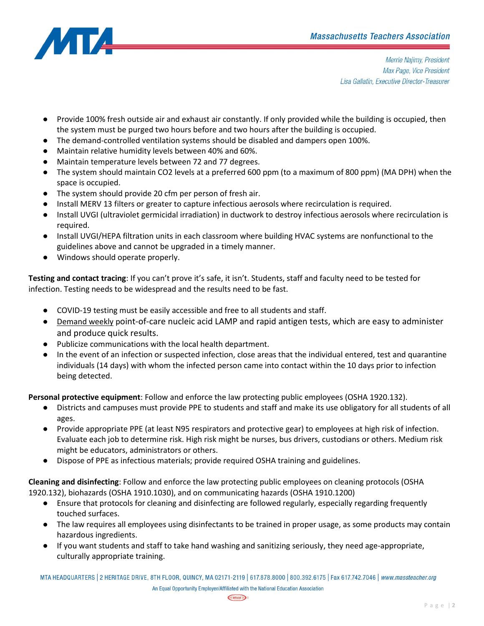

Merrie Najimy, President Max Page, Vice President Lisa Gallatin, Executive Director-Treasurer

- Provide 100% fresh outside air and exhaust air constantly. If only provided while the building is occupied, then the system must be purged two hours before and two hours after the building is occupied.
- The demand-controlled ventilation systems should be disabled and dampers open 100%.
- Maintain relative humidity levels between 40% and 60%.
- Maintain temperature levels between 72 and 77 degrees.
- The system should maintain CO2 levels at a preferred 600 ppm (to a maximum of 800 ppm) (MA DPH) when the space is occupied.
- The system should provide 20 cfm per person of fresh air.
- Install MERV 13 filters or greater to capture infectious aerosols where recirculation is required.
- Install UVGI (ultraviolet germicidal irradiation) in ductwork to destroy infectious aerosols where recirculation is required.
- Install UVGI/HEPA filtration units in each classroom where building HVAC systems are nonfunctional to the guidelines above and cannot be upgraded in a timely manner.
- Windows should operate properly.

**Testing and contact tracing**: If you can't prove it's safe, it isn't. Students, staff and faculty need to be tested for infection. Testing needs to be widespread and the results need to be fast.

- COVID-19 testing must be easily accessible and free to all students and staff.
- Demand weekly point-of-care nucleic acid LAMP and rapid antigen tests, which are easy to administer and produce quick results.
- Publicize communications with the local health department.
- In the event of an infection or suspected infection, close areas that the individual entered, test and quarantine individuals (14 days) with whom the infected person came into contact within the 10 days prior to infection being detected.

**Personal protective equipment**: Follow and enforce the law protecting public employees (OSHA 1920.132).

- Districts and campuses must provide PPE to students and staff and make its use obligatory for all students of all ages.
- Provide appropriate PPE (at least N95 respirators and protective gear) to employees at high risk of infection. Evaluate each job to determine risk. High risk might be nurses, bus drivers, custodians or others. Medium risk might be educators, administrators or others.
- Dispose of PPE as infectious materials; provide required OSHA training and guidelines.

**Cleaning and disinfecting**: Follow and enforce the law protecting public employees on cleaning protocols (OSHA 1920.132), biohazards (OSHA 1910.1030), and on communicating hazards (OSHA 1910.1200)

- Ensure that protocols for cleaning and disinfecting are followed regularly, especially regarding frequently touched surfaces.
- The law requires all employees using disinfectants to be trained in proper usage, as some products may contain hazardous ingredients.
- If you want students and staff to take hand washing and sanitizing seriously, they need age-appropriate, culturally appropriate training.